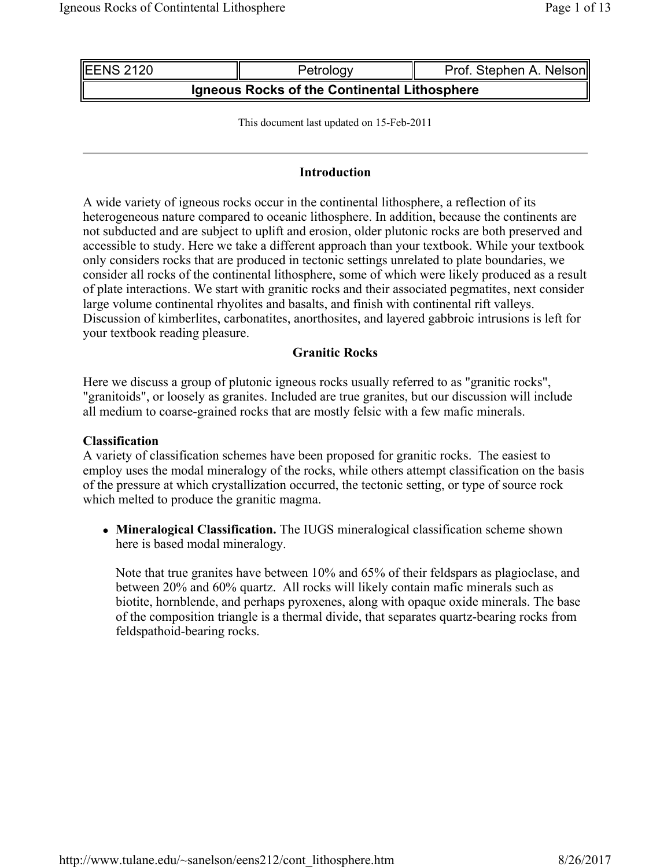| IEENS 2120                                   | Petrology | Prof. Stephen A. Nelson |  |  |  |
|----------------------------------------------|-----------|-------------------------|--|--|--|
| Igneous Rocks of the Continental Lithosphere |           |                         |  |  |  |

This document last updated on 15-Feb-2011

#### **Introduction**

A wide variety of igneous rocks occur in the continental lithosphere, a reflection of its heterogeneous nature compared to oceanic lithosphere. In addition, because the continents are not subducted and are subject to uplift and erosion, older plutonic rocks are both preserved and accessible to study. Here we take a different approach than your textbook. While your textbook only considers rocks that are produced in tectonic settings unrelated to plate boundaries, we consider all rocks of the continental lithosphere, some of which were likely produced as a result of plate interactions. We start with granitic rocks and their associated pegmatites, next consider large volume continental rhyolites and basalts, and finish with continental rift valleys. Discussion of kimberlites, carbonatites, anorthosites, and layered gabbroic intrusions is left for your textbook reading pleasure.

#### **Granitic Rocks**

Here we discuss a group of plutonic igneous rocks usually referred to as "granitic rocks", "granitoids", or loosely as granites. Included are true granites, but our discussion will include all medium to coarse-grained rocks that are mostly felsic with a few mafic minerals.

#### **Classification**

A variety of classification schemes have been proposed for granitic rocks. The easiest to employ uses the modal mineralogy of the rocks, while others attempt classification on the basis of the pressure at which crystallization occurred, the tectonic setting, or type of source rock which melted to produce the granitic magma.

 **Mineralogical Classification.** The IUGS mineralogical classification scheme shown here is based modal mineralogy.

Note that true granites have between 10% and 65% of their feldspars as plagioclase, and between 20% and 60% quartz. All rocks will likely contain mafic minerals such as biotite, hornblende, and perhaps pyroxenes, along with opaque oxide minerals. The base of the composition triangle is a thermal divide, that separates quartz-bearing rocks from feldspathoid-bearing rocks.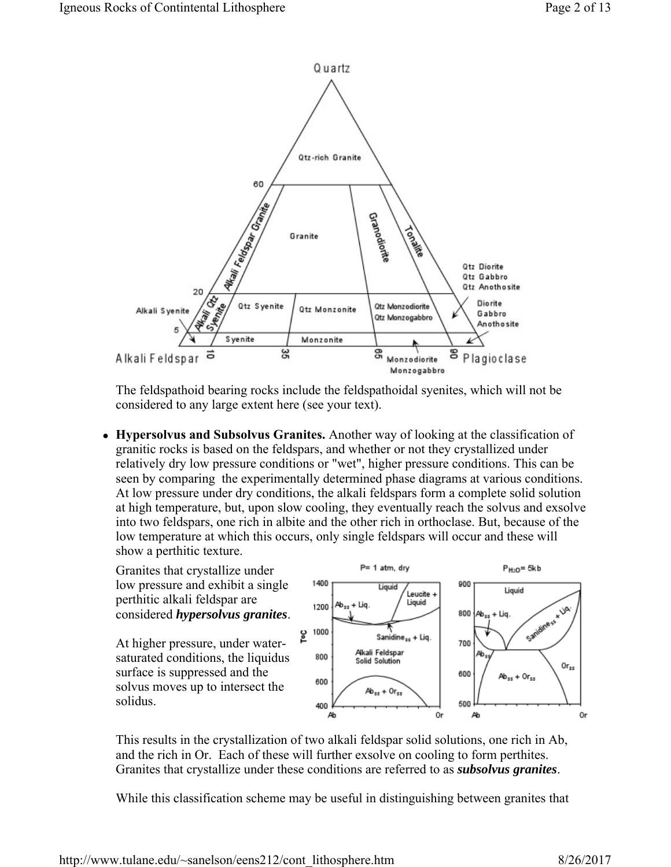

The feldspathoid bearing rocks include the feldspathoidal syenites, which will not be considered to any large extent here (see your text).

 **Hypersolvus and Subsolvus Granites.** Another way of looking at the classification of granitic rocks is based on the feldspars, and whether or not they crystallized under relatively dry low pressure conditions or "wet", higher pressure conditions. This can be seen by comparing the experimentally determined phase diagrams at various conditions. At low pressure under dry conditions, the alkali feldspars form a complete solid solution at high temperature, but, upon slow cooling, they eventually reach the solvus and exsolve into two feldspars, one rich in albite and the other rich in orthoclase. But, because of the low temperature at which this occurs, only single feldspars will occur and these will show a perthitic texture.

Granites that crystallize under low pressure and exhibit a single perthitic alkali feldspar are considered *hypersolvus granites*.

At higher pressure, under watersaturated conditions, the liquidus surface is suppressed and the solvus moves up to intersect the solidus.



This results in the crystallization of two alkali feldspar solid solutions, one rich in Ab, and the rich in Or. Each of these will further exsolve on cooling to form perthites. Granites that crystallize under these conditions are referred to as *subsolvus granites*.

While this classification scheme may be useful in distinguishing between granites that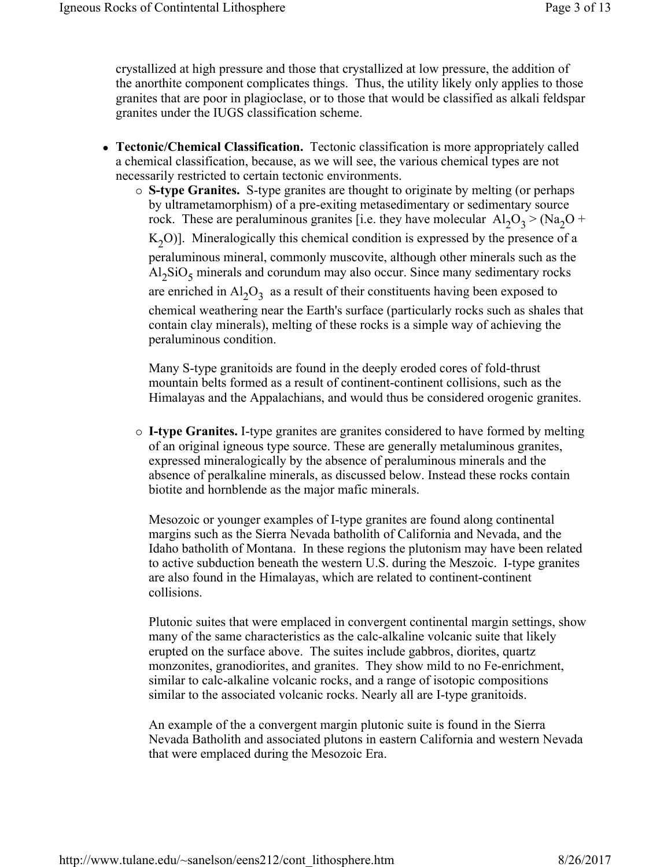crystallized at high pressure and those that crystallized at low pressure, the addition of the anorthite component complicates things. Thus, the utility likely only applies to those granites that are poor in plagioclase, or to those that would be classified as alkali feldspar granites under the IUGS classification scheme.

- **Tectonic/Chemical Classification.** Tectonic classification is more appropriately called a chemical classification, because, as we will see, the various chemical types are not necessarily restricted to certain tectonic environments.
	- **S-type Granites.** S-type granites are thought to originate by melting (or perhaps by ultrametamorphism) of a pre-exiting metasedimentary or sedimentary source rock. These are peraluminous granites [i.e. they have molecular  $Al_2O_3$  > (Na<sub>2</sub>O +  $K_2O$ ]. Mineralogically this chemical condition is expressed by the presence of a peraluminous mineral, commonly muscovite, although other minerals such as the  $\text{Al}_2\text{SiO}_5$  minerals and corundum may also occur. Since many sedimentary rocks are enriched in  $Al_2O_3$  as a result of their constituents having been exposed to chemical weathering near the Earth's surface (particularly rocks such as shales that contain clay minerals), melting of these rocks is a simple way of achieving the peraluminous condition.

Many S-type granitoids are found in the deeply eroded cores of fold-thrust mountain belts formed as a result of continent-continent collisions, such as the Himalayas and the Appalachians, and would thus be considered orogenic granites.

 **I-type Granites.** I-type granites are granites considered to have formed by melting of an original igneous type source. These are generally metaluminous granites, expressed mineralogically by the absence of peraluminous minerals and the absence of peralkaline minerals, as discussed below. Instead these rocks contain biotite and hornblende as the major mafic minerals.

Mesozoic or younger examples of I-type granites are found along continental margins such as the Sierra Nevada batholith of California and Nevada, and the Idaho batholith of Montana. In these regions the plutonism may have been related to active subduction beneath the western U.S. during the Meszoic. I-type granites are also found in the Himalayas, which are related to continent-continent collisions.

Plutonic suites that were emplaced in convergent continental margin settings, show many of the same characteristics as the calc-alkaline volcanic suite that likely erupted on the surface above. The suites include gabbros, diorites, quartz monzonites, granodiorites, and granites. They show mild to no Fe-enrichment, similar to calc-alkaline volcanic rocks, and a range of isotopic compositions similar to the associated volcanic rocks. Nearly all are I-type granitoids.

An example of the a convergent margin plutonic suite is found in the Sierra Nevada Batholith and associated plutons in eastern California and western Nevada that were emplaced during the Mesozoic Era.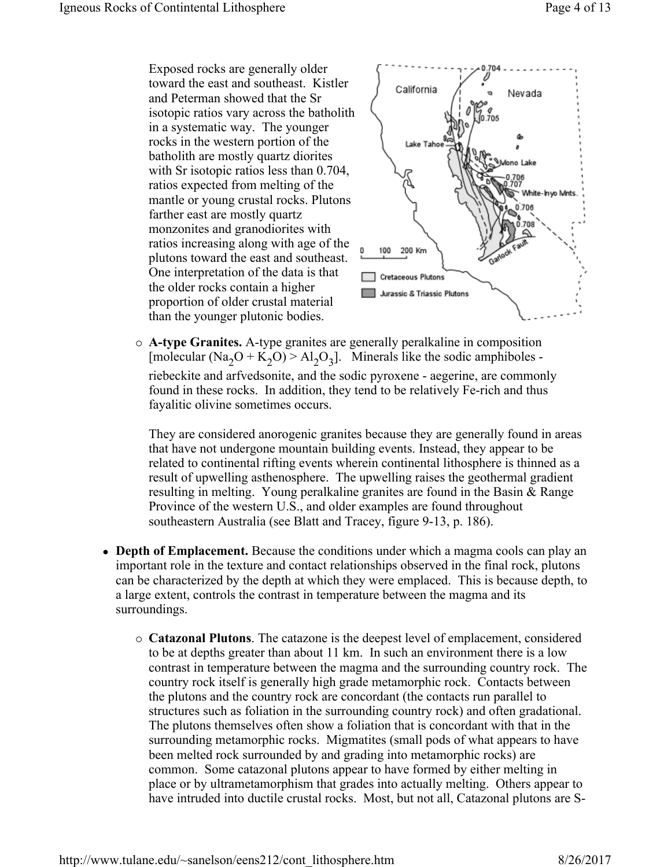Exposed rocks are generally older toward the east and southeast. Kistler and Peterman showed that the Sr isotopic ratios vary across the batholith in a systematic way. The younger rocks in the western portion of the batholith are mostly quartz diorites with Sr isotopic ratios less than 0.704, ratios expected from melting of the mantle or young crustal rocks. Plutons farther east are mostly quartz monzonites and granodiorites with ratios increasing along with age of the plutons toward the east and southeast. One interpretation of the data is that the older rocks contain a higher proportion of older crustal material than the younger plutonic bodies.



 **A-type Granites.** A-type granites are generally peralkaline in composition [molecular (Na<sub>2</sub>O + K<sub>2</sub>O) > Al<sub>2</sub>O<sub>3</sub>]. Minerals like the sodic amphiboles riebeckite and arfvedsonite, and the sodic pyroxene - aegerine, are commonly found in these rocks. In addition, they tend to be relatively Fe-rich and thus fayalitic olivine sometimes occurs.

They are considered anorogenic granites because they are generally found in areas that have not undergone mountain building events. Instead, they appear to be related to continental rifting events wherein continental lithosphere is thinned as a result of upwelling asthenosphere. The upwelling raises the geothermal gradient resulting in melting. Young peralkaline granites are found in the Basin & Range Province of the western U.S., and older examples are found throughout southeastern Australia (see Blatt and Tracey, figure 9-13, p. 186).

- **Depth of Emplacement.** Because the conditions under which a magma cools can play an important role in the texture and contact relationships observed in the final rock, plutons can be characterized by the depth at which they were emplaced. This is because depth, to a large extent, controls the contrast in temperature between the magma and its surroundings.
	- **Catazonal Plutons**. The catazone is the deepest level of emplacement, considered to be at depths greater than about 11 km. In such an environment there is a low contrast in temperature between the magma and the surrounding country rock. The country rock itself is generally high grade metamorphic rock. Contacts between the plutons and the country rock are concordant (the contacts run parallel to structures such as foliation in the surrounding country rock) and often gradational. The plutons themselves often show a foliation that is concordant with that in the surrounding metamorphic rocks. Migmatites (small pods of what appears to have been melted rock surrounded by and grading into metamorphic rocks) are common. Some catazonal plutons appear to have formed by either melting in place or by ultrametamorphism that grades into actually melting. Others appear to have intruded into ductile crustal rocks. Most, but not all, Catazonal plutons are S-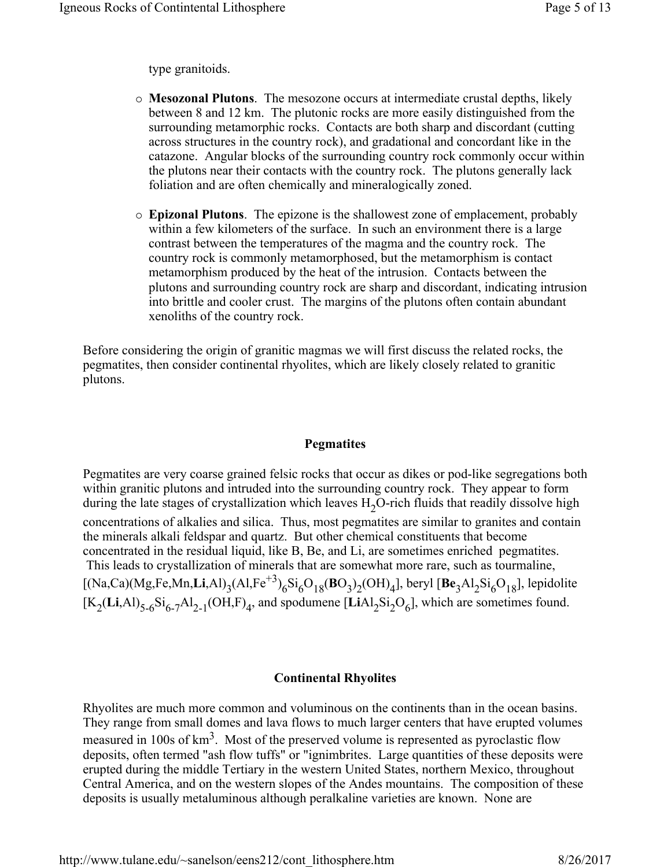type granitoids.

- **Mesozonal Plutons**. The mesozone occurs at intermediate crustal depths, likely between 8 and 12 km. The plutonic rocks are more easily distinguished from the surrounding metamorphic rocks. Contacts are both sharp and discordant (cutting across structures in the country rock), and gradational and concordant like in the catazone. Angular blocks of the surrounding country rock commonly occur within the plutons near their contacts with the country rock. The plutons generally lack foliation and are often chemically and mineralogically zoned.
- **Epizonal Plutons**. The epizone is the shallowest zone of emplacement, probably within a few kilometers of the surface. In such an environment there is a large contrast between the temperatures of the magma and the country rock. The country rock is commonly metamorphosed, but the metamorphism is contact metamorphism produced by the heat of the intrusion. Contacts between the plutons and surrounding country rock are sharp and discordant, indicating intrusion into brittle and cooler crust. The margins of the plutons often contain abundant xenoliths of the country rock.

Before considering the origin of granitic magmas we will first discuss the related rocks, the pegmatites, then consider continental rhyolites, which are likely closely related to granitic plutons.

## **Pegmatites**

Pegmatites are very coarse grained felsic rocks that occur as dikes or pod-like segregations both within granitic plutons and intruded into the surrounding country rock. They appear to form during the late stages of crystallization which leaves  $H_2O$ -rich fluids that readily dissolve high concentrations of alkalies and silica. Thus, most pegmatites are similar to granites and contain the minerals alkali feldspar and quartz. But other chemical constituents that become concentrated in the residual liquid, like B, Be, and Li, are sometimes enriched pegmatites. This leads to crystallization of minerals that are somewhat more rare, such as tourmaline,  $[(Na, Ca)(Mg, Fe, Mn, Li, Al)_3(Al, Fe^{+3})_6Si_6O_{18}(BO_3)_2(OH)_4]$ , beryl  $[Be_3Al_2Si_6O_{18}]$ , lepidolite  $[K_2(Li, Al)_{5-6}Si_{6-7}Al_{2-1}(OH, F)_4$ , and spodumene [LiAl<sub>2</sub>Si<sub>2</sub>O<sub>6</sub>], which are sometimes found.

## **Continental Rhyolites**

Rhyolites are much more common and voluminous on the continents than in the ocean basins. They range from small domes and lava flows to much larger centers that have erupted volumes measured in 100s of  $km<sup>3</sup>$ . Most of the preserved volume is represented as pyroclastic flow deposits, often termed "ash flow tuffs" or "ignimbrites. Large quantities of these deposits were erupted during the middle Tertiary in the western United States, northern Mexico, throughout Central America, and on the western slopes of the Andes mountains. The composition of these deposits is usually metaluminous although peralkaline varieties are known. None are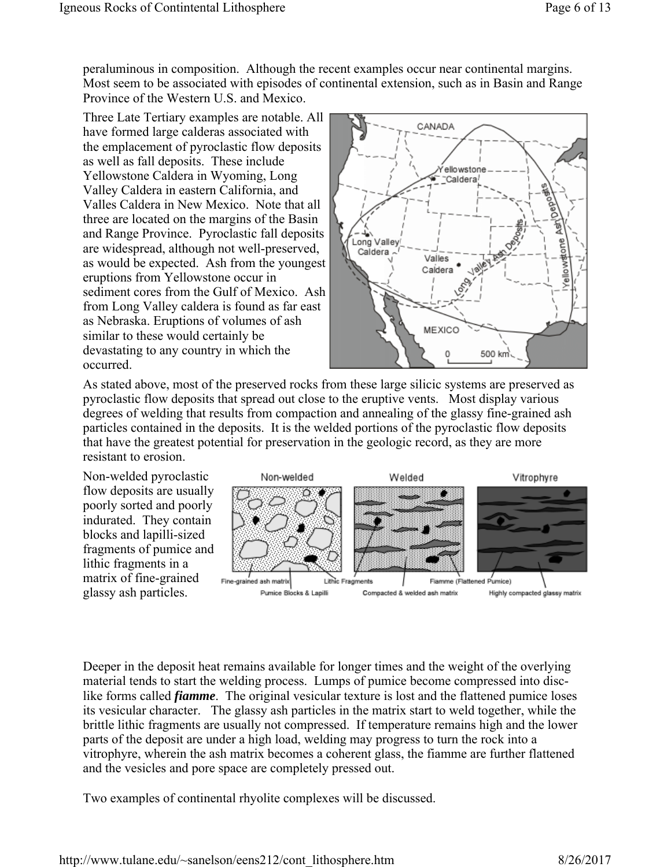peraluminous in composition. Although the recent examples occur near continental margins. Most seem to be associated with episodes of continental extension, such as in Basin and Range Province of the Western U.S. and Mexico.

Three Late Tertiary examples are notable. All have formed large calderas associated with the emplacement of pyroclastic flow deposits as well as fall deposits. These include Yellowstone Caldera in Wyoming, Long Valley Caldera in eastern California, and Valles Caldera in New Mexico. Note that all three are located on the margins of the Basin and Range Province. Pyroclastic fall deposits are widespread, although not well-preserved, as would be expected. Ash from the youngest eruptions from Yellowstone occur in sediment cores from the Gulf of Mexico. Ash from Long Valley caldera is found as far east as Nebraska. Eruptions of volumes of ash similar to these would certainly be devastating to any country in which the occurred.



As stated above, most of the preserved rocks from these large silicic systems are preserved as pyroclastic flow deposits that spread out close to the eruptive vents. Most display various degrees of welding that results from compaction and annealing of the glassy fine-grained ash particles contained in the deposits. It is the welded portions of the pyroclastic flow deposits that have the greatest potential for preservation in the geologic record, as they are more resistant to erosion.

Non-welded pyroclastic flow deposits are usually poorly sorted and poorly indurated. They contain blocks and lapilli-sized fragments of pumice and lithic fragments in a matrix of fine-grained glassy ash particles.



Deeper in the deposit heat remains available for longer times and the weight of the overlying material tends to start the welding process. Lumps of pumice become compressed into disclike forms called *fiamme*. The original vesicular texture is lost and the flattened pumice loses its vesicular character. The glassy ash particles in the matrix start to weld together, while the brittle lithic fragments are usually not compressed. If temperature remains high and the lower parts of the deposit are under a high load, welding may progress to turn the rock into a vitrophyre, wherein the ash matrix becomes a coherent glass, the fiamme are further flattened and the vesicles and pore space are completely pressed out.

Two examples of continental rhyolite complexes will be discussed.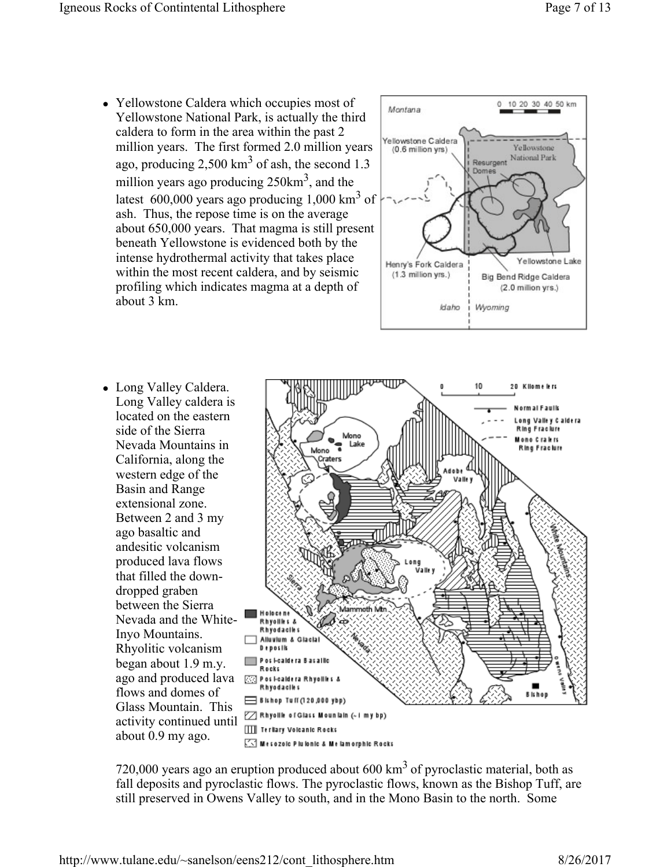• Yellowstone Caldera which occupies most of Yellowstone National Park, is actually the third caldera to form in the area within the past 2 million years. The first formed 2.0 million years ago, producing 2,500 km<sup>3</sup> of ash, the second 1.3 million years ago producing  $250 \text{km}^3$ , and the latest 600,000 years ago producing 1,000  $\text{km}^3$  of ash. Thus, the repose time is on the average about 650,000 years. That magma is still present beneath Yellowstone is evidenced both by the intense hydrothermal activity that takes place within the most recent caldera, and by seismic profiling which indicates magma at a depth of about 3 km.



• Long Valley Caldera. Long Valley caldera is located on the eastern side of the Sierra Nevada Mountains in California, along the western edge of the Basin and Range extensional zone. Between 2 and 3 my ago basaltic and andesitic volcanism produced lava flows that filled the downdropped graben between the Sierra Nevada and the White-Inyo Mountains. Rhyolitic volcanism began about 1.9 m.y. ago and produced lava flows and domes of Glass Mountain. This activity continued until about 0.9 my ago.



720,000 years ago an eruption produced about  $600 \text{ km}^3$  of pyroclastic material, both as fall deposits and pyroclastic flows. The pyroclastic flows, known as the Bishop Tuff, are still preserved in Owens Valley to south, and in the Mono Basin to the north. Some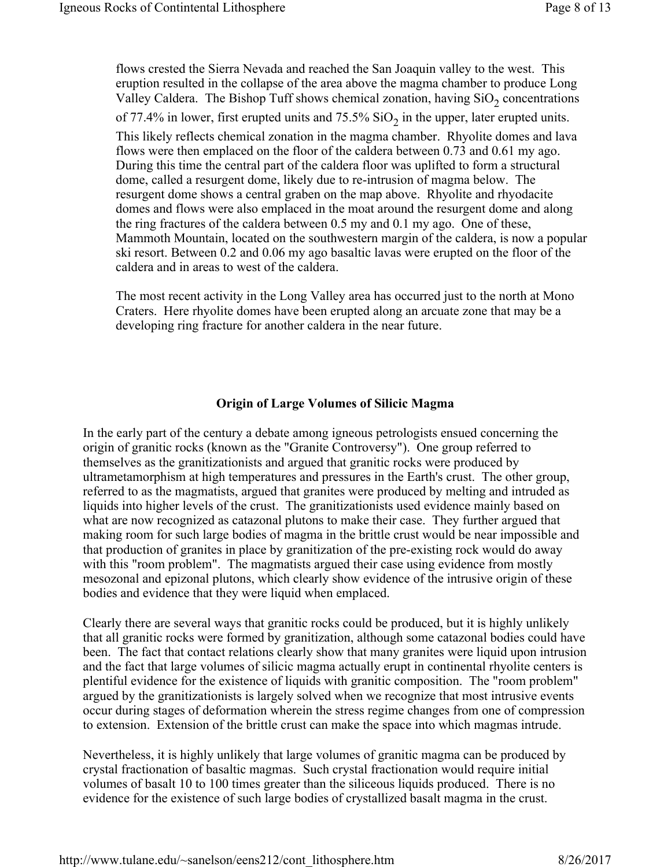flows crested the Sierra Nevada and reached the San Joaquin valley to the west. This eruption resulted in the collapse of the area above the magma chamber to produce Long Valley Caldera. The Bishop Tuff shows chemical zonation, having  $SiO<sub>2</sub>$  concentrations of 77.4% in lower, first erupted units and 75.5%  $SiO<sub>2</sub>$  in the upper, later erupted units. This likely reflects chemical zonation in the magma chamber. Rhyolite domes and lava flows were then emplaced on the floor of the caldera between 0.73 and 0.61 my ago. During this time the central part of the caldera floor was uplifted to form a structural dome, called a resurgent dome, likely due to re-intrusion of magma below. The resurgent dome shows a central graben on the map above. Rhyolite and rhyodacite domes and flows were also emplaced in the moat around the resurgent dome and along the ring fractures of the caldera between 0.5 my and 0.1 my ago. One of these, Mammoth Mountain, located on the southwestern margin of the caldera, is now a popular ski resort. Between 0.2 and 0.06 my ago basaltic lavas were erupted on the floor of the caldera and in areas to west of the caldera.

The most recent activity in the Long Valley area has occurred just to the north at Mono Craters. Here rhyolite domes have been erupted along an arcuate zone that may be a developing ring fracture for another caldera in the near future.

#### **Origin of Large Volumes of Silicic Magma**

In the early part of the century a debate among igneous petrologists ensued concerning the origin of granitic rocks (known as the "Granite Controversy"). One group referred to themselves as the granitizationists and argued that granitic rocks were produced by ultrametamorphism at high temperatures and pressures in the Earth's crust. The other group, referred to as the magmatists, argued that granites were produced by melting and intruded as liquids into higher levels of the crust. The granitizationists used evidence mainly based on what are now recognized as catazonal plutons to make their case. They further argued that making room for such large bodies of magma in the brittle crust would be near impossible and that production of granites in place by granitization of the pre-existing rock would do away with this "room problem". The magmatists argued their case using evidence from mostly mesozonal and epizonal plutons, which clearly show evidence of the intrusive origin of these bodies and evidence that they were liquid when emplaced.

Clearly there are several ways that granitic rocks could be produced, but it is highly unlikely that all granitic rocks were formed by granitization, although some catazonal bodies could have been. The fact that contact relations clearly show that many granites were liquid upon intrusion and the fact that large volumes of silicic magma actually erupt in continental rhyolite centers is plentiful evidence for the existence of liquids with granitic composition. The "room problem" argued by the granitizationists is largely solved when we recognize that most intrusive events occur during stages of deformation wherein the stress regime changes from one of compression to extension. Extension of the brittle crust can make the space into which magmas intrude.

Nevertheless, it is highly unlikely that large volumes of granitic magma can be produced by crystal fractionation of basaltic magmas. Such crystal fractionation would require initial volumes of basalt 10 to 100 times greater than the siliceous liquids produced. There is no evidence for the existence of such large bodies of crystallized basalt magma in the crust.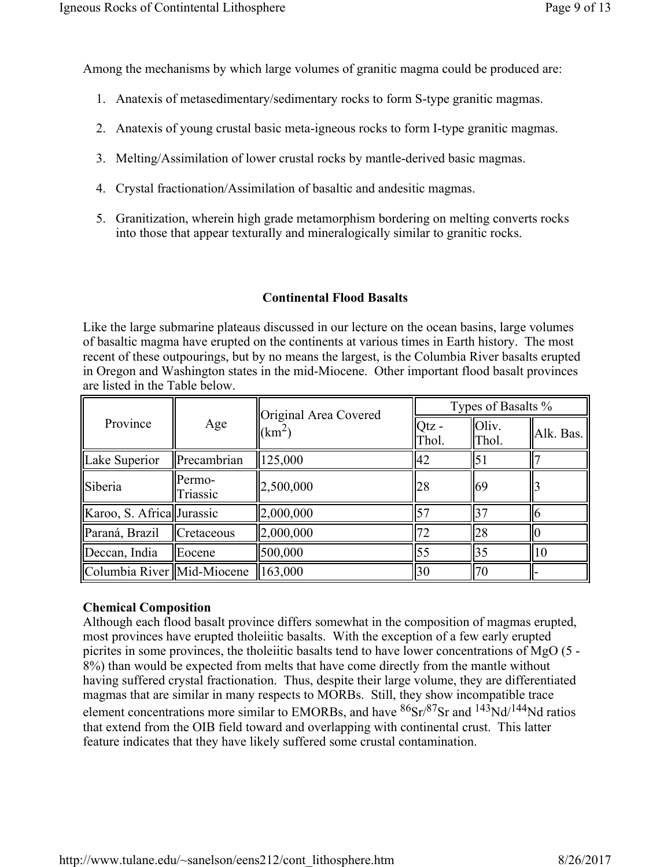Among the mechanisms by which large volumes of granitic magma could be produced are:

- 1. Anatexis of metasedimentary/sedimentary rocks to form S-type granitic magmas.
- 2. Anatexis of young crustal basic meta-igneous rocks to form I-type granitic magmas.
- 3. Melting/Assimilation of lower crustal rocks by mantle-derived basic magmas.
- 4. Crystal fractionation/Assimilation of basaltic and andesitic magmas.
- 5. Granitization, wherein high grade metamorphism bordering on melting converts rocks into those that appear texturally and mineralogically similar to granitic rocks.

# **Continental Flood Basalts**

Like the large submarine plateaus discussed in our lecture on the ocean basins, large volumes of basaltic magma have erupted on the continents at various times in Earth history. The most recent of these outpourings, but by no means the largest, is the Columbia River basalts erupted in Oregon and Washington states in the mid-Miocene. Other important flood basalt provinces are listed in the Table below.

| Province                     | Age                | Original Area Covered<br>$\rm km^2$ ) | Types of Basalts % |                |           |
|------------------------------|--------------------|---------------------------------------|--------------------|----------------|-----------|
|                              |                    |                                       | $Octz -$<br>Thol.  | Oliv.<br>Thol. | Alk. Bas. |
| Lake Superior                | Precambrian        | 125,000                               | 42                 | 51             |           |
| Siberia                      | Permo-<br>Triassic | 2,500,000                             | 28                 | 69             |           |
| Karoo, S. Africa Jurassic    |                    | 2,000,000                             | 157                | 37             |           |
| Paraná, Brazil               | Cretaceous         | 2,000,000                             | 72                 | 28             |           |
| Deccan, India                | Eocene             | 500,000                               | 55                 | 35             | 10        |
| Columbia River   Mid-Miocene |                    | 163,000                               | 30                 | 70             |           |

## **Chemical Composition**

Although each flood basalt province differs somewhat in the composition of magmas erupted, most provinces have erupted tholeiitic basalts. With the exception of a few early erupted picrites in some provinces, the tholeiitic basalts tend to have lower concentrations of MgO (5 - 8%) than would be expected from melts that have come directly from the mantle without having suffered crystal fractionation. Thus, despite their large volume, they are differentiated magmas that are similar in many respects to MORBs. Still, they show incompatible trace element concentrations more similar to EMORBs, and have  ${}^{86}Sr/{}^{87}Sr$  and  ${}^{143}Nd/{}^{144}Nd$  ratios that extend from the OIB field toward and overlapping with continental crust. This latter feature indicates that they have likely suffered some crustal contamination.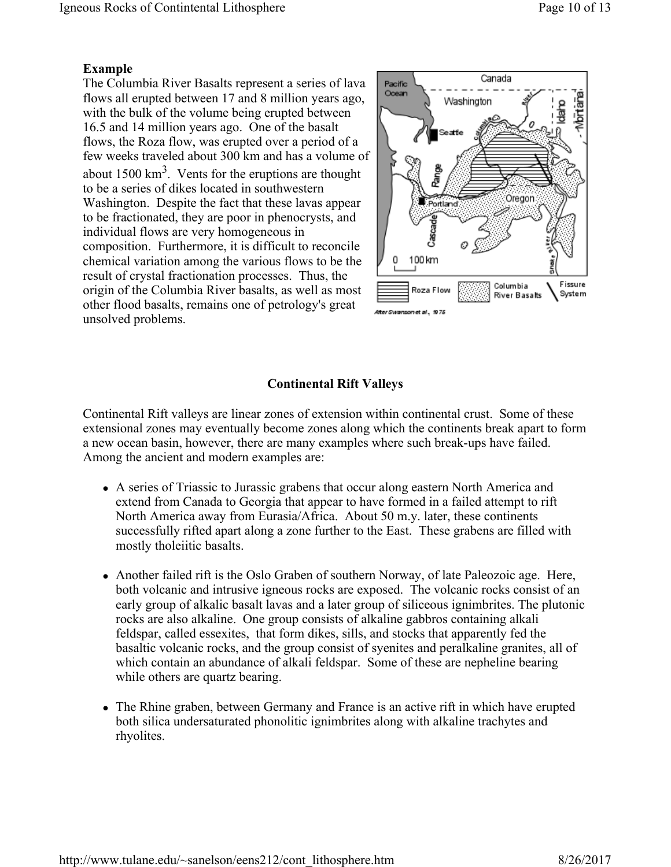## **Example**

The Columbia River Basalts represent a series of lava flows all erupted between 17 and 8 million years ago, with the bulk of the volume being erupted between 16.5 and 14 million years ago. One of the basalt flows, the Roza flow, was erupted over a period of a few weeks traveled about 300 km and has a volume of about  $1500 \text{ km}^3$ . Vents for the eruptions are thought to be a series of dikes located in southwestern Washington. Despite the fact that these lavas appear to be fractionated, they are poor in phenocrysts, and individual flows are very homogeneous in composition. Furthermore, it is difficult to reconcile chemical variation among the various flows to be the result of crystal fractionation processes. Thus, the origin of the Columbia River basalts, as well as most other flood basalts, remains one of petrology's great unsolved problems.



# **Continental Rift Valleys**

Continental Rift valleys are linear zones of extension within continental crust. Some of these extensional zones may eventually become zones along which the continents break apart to form a new ocean basin, however, there are many examples where such break-ups have failed. Among the ancient and modern examples are:

- A series of Triassic to Jurassic grabens that occur along eastern North America and extend from Canada to Georgia that appear to have formed in a failed attempt to rift North America away from Eurasia/Africa. About 50 m.y. later, these continents successfully rifted apart along a zone further to the East. These grabens are filled with mostly tholeiitic basalts.
- Another failed rift is the Oslo Graben of southern Norway, of late Paleozoic age. Here, both volcanic and intrusive igneous rocks are exposed. The volcanic rocks consist of an early group of alkalic basalt lavas and a later group of siliceous ignimbrites. The plutonic rocks are also alkaline. One group consists of alkaline gabbros containing alkali feldspar, called essexites, that form dikes, sills, and stocks that apparently fed the basaltic volcanic rocks, and the group consist of syenites and peralkaline granites, all of which contain an abundance of alkali feldspar. Some of these are nepheline bearing while others are quartz bearing.
- The Rhine graben, between Germany and France is an active rift in which have erupted both silica undersaturated phonolitic ignimbrites along with alkaline trachytes and rhyolites.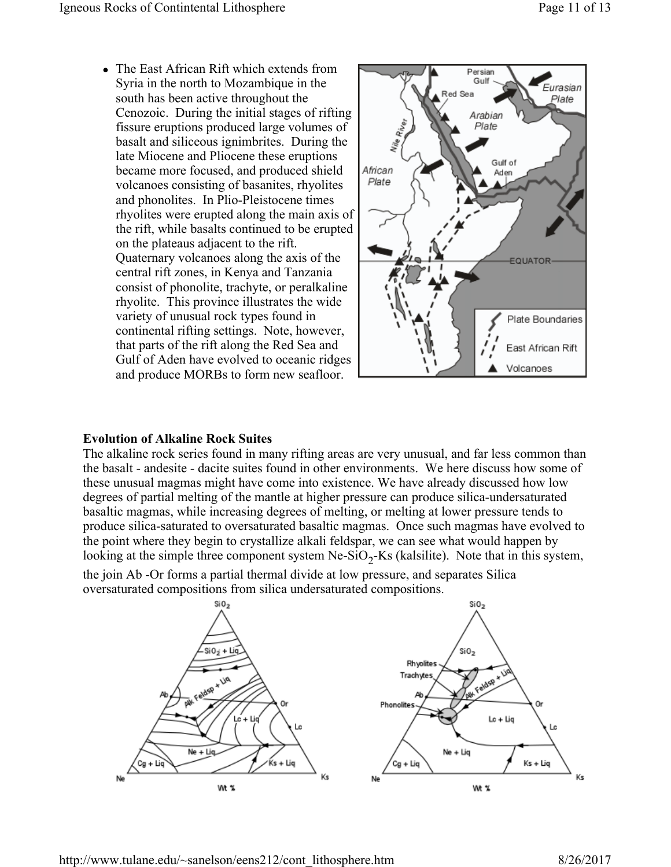• The East African Rift which extends from Syria in the north to Mozambique in the south has been active throughout the Cenozoic. During the initial stages of rifting fissure eruptions produced large volumes of basalt and siliceous ignimbrites. During the late Miocene and Pliocene these eruptions became more focused, and produced shield volcanoes consisting of basanites, rhyolites and phonolites. In Plio-Pleistocene times rhyolites were erupted along the main axis of the rift, while basalts continued to be erupted on the plateaus adjacent to the rift. Quaternary volcanoes along the axis of the central rift zones, in Kenya and Tanzania consist of phonolite, trachyte, or peralkaline rhyolite. This province illustrates the wide variety of unusual rock types found in continental rifting settings. Note, however, that parts of the rift along the Red Sea and Gulf of Aden have evolved to oceanic ridges and produce MORBs to form new seafloor.



#### **Evolution of Alkaline Rock Suites**

The alkaline rock series found in many rifting areas are very unusual, and far less common than the basalt - andesite - dacite suites found in other environments. We here discuss how some of these unusual magmas might have come into existence. We have already discussed how low degrees of partial melting of the mantle at higher pressure can produce silica-undersaturated basaltic magmas, while increasing degrees of melting, or melting at lower pressure tends to produce silica-saturated to oversaturated basaltic magmas. Once such magmas have evolved to the point where they begin to crystallize alkali feldspar, we can see what would happen by looking at the simple three component system Ne-SiO<sub>2</sub>-Ks (kalsilite). Note that in this system, the join Ab -Or forms a partial thermal divide at low pressure, and separates Silica

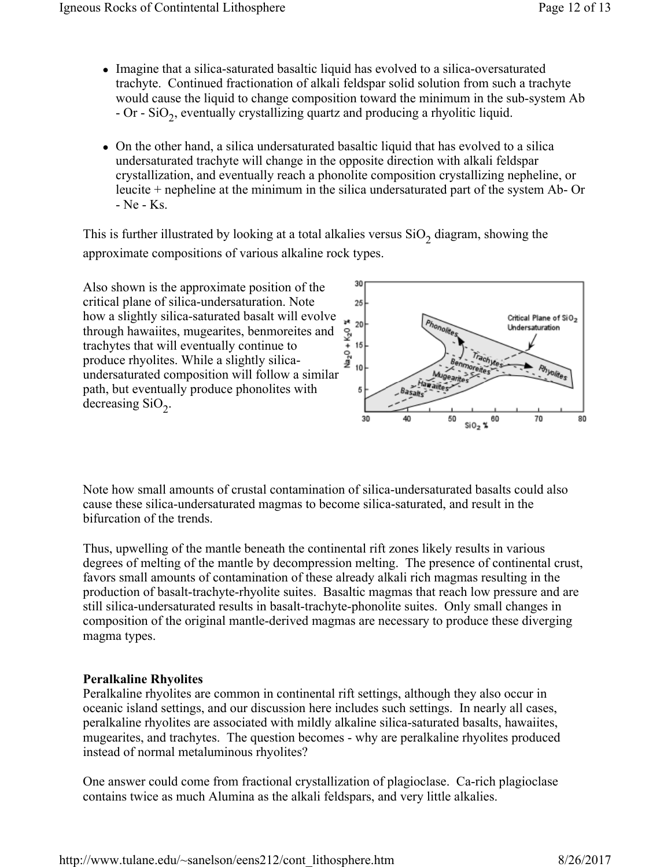- Imagine that a silica-saturated basaltic liquid has evolved to a silica-oversaturated trachyte. Continued fractionation of alkali feldspar solid solution from such a trachyte would cause the liquid to change composition toward the minimum in the sub-system Ab - Or - SiO<sub>2</sub>, eventually crystallizing quartz and producing a rhyolitic liquid.
- On the other hand, a silica undersaturated basaltic liquid that has evolved to a silica undersaturated trachyte will change in the opposite direction with alkali feldspar crystallization, and eventually reach a phonolite composition crystallizing nepheline, or leucite + nepheline at the minimum in the silica undersaturated part of the system Ab- Or - Ne - Ks.

This is further illustrated by looking at a total alkalies versus  $SiO<sub>2</sub>$  diagram, showing the approximate compositions of various alkaline rock types.



Note how small amounts of crustal contamination of silica-undersaturated basalts could also cause these silica-undersaturated magmas to become silica-saturated, and result in the bifurcation of the trends.

Thus, upwelling of the mantle beneath the continental rift zones likely results in various degrees of melting of the mantle by decompression melting. The presence of continental crust, favors small amounts of contamination of these already alkali rich magmas resulting in the production of basalt-trachyte-rhyolite suites. Basaltic magmas that reach low pressure and are still silica-undersaturated results in basalt-trachyte-phonolite suites. Only small changes in composition of the original mantle-derived magmas are necessary to produce these diverging magma types.

## **Peralkaline Rhyolites**

Peralkaline rhyolites are common in continental rift settings, although they also occur in oceanic island settings, and our discussion here includes such settings. In nearly all cases, peralkaline rhyolites are associated with mildly alkaline silica-saturated basalts, hawaiites, mugearites, and trachytes. The question becomes - why are peralkaline rhyolites produced instead of normal metaluminous rhyolites?

One answer could come from fractional crystallization of plagioclase. Ca-rich plagioclase contains twice as much Alumina as the alkali feldspars, and very little alkalies.